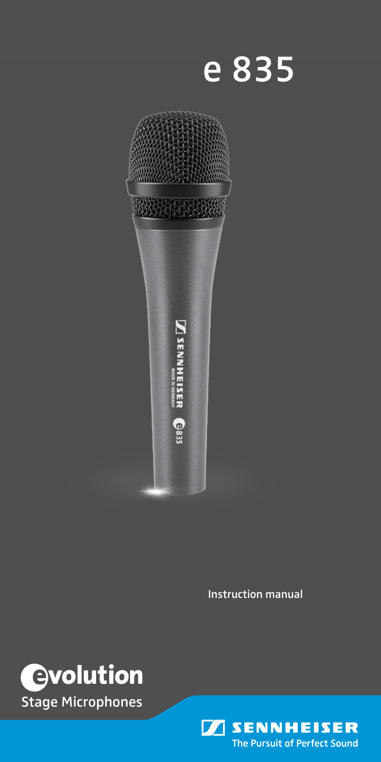e 835



**Instruction manual** 



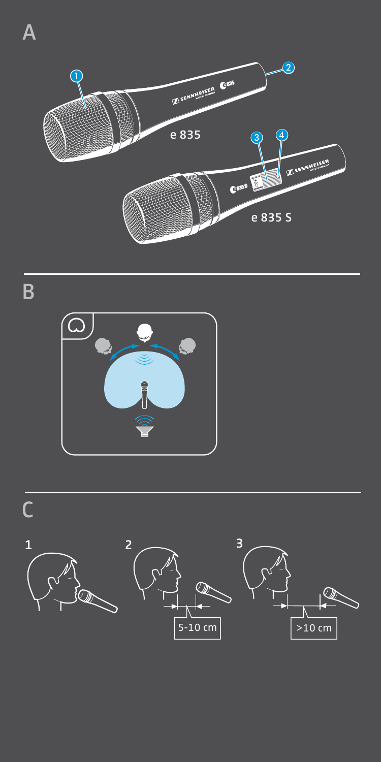

 $\overline{B}$ 



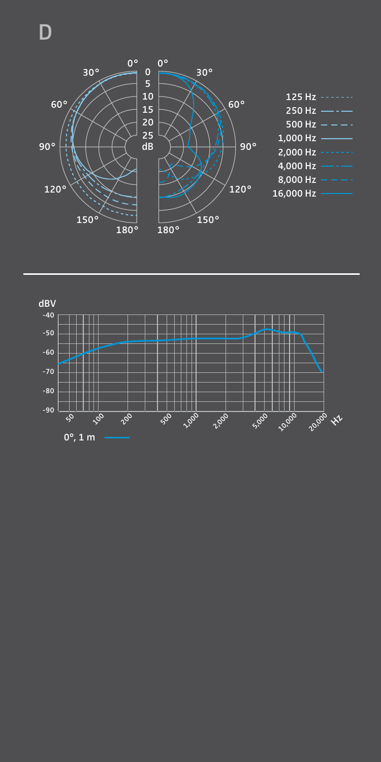D



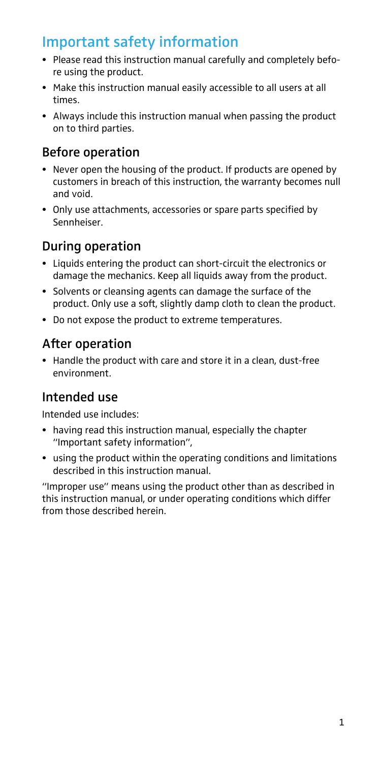## Important safety information

- Please read this instruction manual carefully and completely before using the product.
- Make this instruction manual easily accessible to all users at all times.
- Always include this instruction manual when passing the product on to third parties.

#### Before operation

- Never open the housing of the product. If products are opened by customers in breach of this instruction, the warranty becomes null and void.
- Only use attachments, accessories or spare parts specified by Sennheiser.

### During operation

- Liquids entering the product can short-circuit the electronics or damage the mechanics. Keep all liquids away from the product.
- Solvents or cleansing agents can damage the surface of the product. Only use a soft, slightly damp cloth to clean the product.
- Do not expose the product to extreme temperatures.

#### After operation

• Handle the product with care and store it in a clean, dust-free environment.

#### Intended use

Intended use includes:

- having read this instruction manual, especially the chapter "Important safety information",
- using the product within the operating conditions and limitations described in this instruction manual.

"Improper use" means using the product other than as described in this instruction manual, or under operating conditions which differ from those described herein.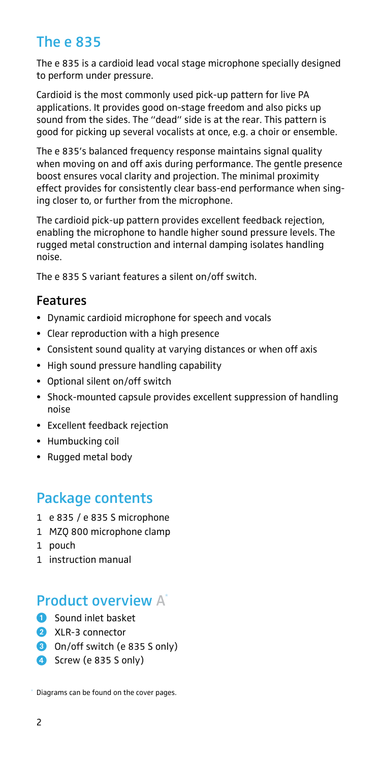### The e 835

The e 835 is a cardioid lead vocal stage microphone specially designed to perform under pressure.

Cardioid is the most commonly used pick-up pattern for live PA applications. It provides good on-stage freedom and also picks up sound from the sides. The "dead" side is at the rear. This pattern is good for picking up several vocalists at once, e.g. a choir or ensemble.

The e 835's balanced frequency response maintains signal quality when moving on and off axis during performance. The gentle presence boost ensures vocal clarity and projection. The minimal proximity effect provides for consistently clear bass-end performance when singing closer to, or further from the microphone.

The cardioid pick-up pattern provides excellent feedback rejection, enabling the microphone to handle higher sound pressure levels. The rugged metal construction and internal damping isolates handling noise.

The e 835 S variant features a silent on/off switch.

#### Features

- Dynamic cardioid microphone for speech and vocals
- Clear reproduction with a high presence
- Consistent sound quality at varying distances or when off axis
- High sound pressure handling capability
- Optional silent on/off switch
- Shock-mounted capsule provides excellent suppression of handling noise
- Excellent feedback rejection
- Humbucking coil
- Rugged metal body

#### Package contents

- 1 e 835 / e 835 S microphone
- 1 MZQ 800 microphone clamp
- 1 pouch
- 1 instruction manual

#### Product overview A\*

- **1** Sound inlet basket
- 2 XLR-3 connector
- 3 On/off switch (e 835 S only)
- <span id="page-4-0"></span>4 Screw (e 835 S only)

Diagrams can be found on the cover pages. \*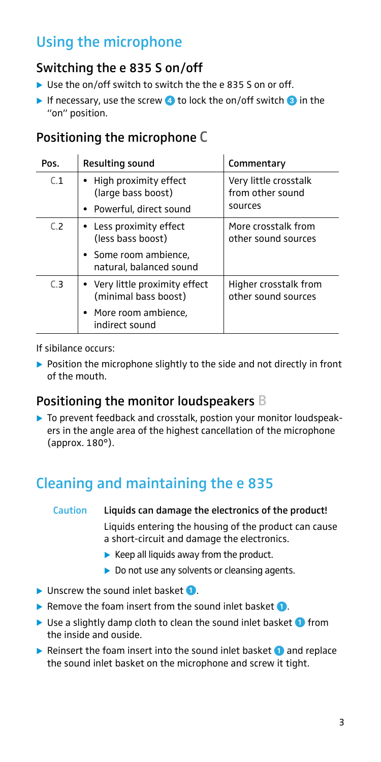## Using the microphone

#### Switching the e 835 S on/off

- $\triangleright$  Use the on/off switch to switch the the e 835 S on or off.
- If necessary, use the screw  $\triangleq 1$  to lock the on/off switch  $\triangleq 1$  in the "on" position.

#### Positioning the microphone C

| Pos. | Resulting sound                                                                                   | Commentary                                           |
|------|---------------------------------------------------------------------------------------------------|------------------------------------------------------|
| C.1  | • High proximity effect<br>(large bass boost)<br>• Powerful, direct sound                         | Very little crosstalk<br>from other sound<br>sources |
| C.2  | • Less proximity effect<br>(less bass boost)<br>• Some room ambience,<br>natural, balanced sound  | More crosstalk from<br>other sound sources           |
| C.3  | • Very little proximity effect<br>(minimal bass boost)<br>• More room ambience,<br>indirect sound | Higher crosstalk from<br>other sound sources         |

If sibilance occurs:

 $\triangleright$  Position the microphone slightly to the side and not directly in front of the mouth.

#### Positioning the monitor loudspeakers B

 $\triangleright$  To prevent feedback and crosstalk, postion your monitor loudspeakers in the angle area of the highest cancellation of the microphone (approx. 180°).

## Cleaning and maintaining the e 835

# Caution Liquids can damage the electronics of the product!

Liquids entering the housing of the product can cause a short-circuit and damage the electronics.

- $\blacktriangleright$  Keep all liquids away from the product.
- $\triangleright$  Do not use any solvents or cleansing agents.
- $\blacktriangleright$  Unscrew the sound inlet basket  $\bigcirc$ .
- Remove the foam insert from the sound inlet basket  $\bigcirc$ .
- $\triangleright$  Use a slightly damp cloth to clean the sound inlet basket  $\bigcirc$  from the inside and ouside.
- Reinsert the foam insert into the sound inlet basket  $\bigcirc$  and replace the sound inlet basket on the microphone and screw it tight.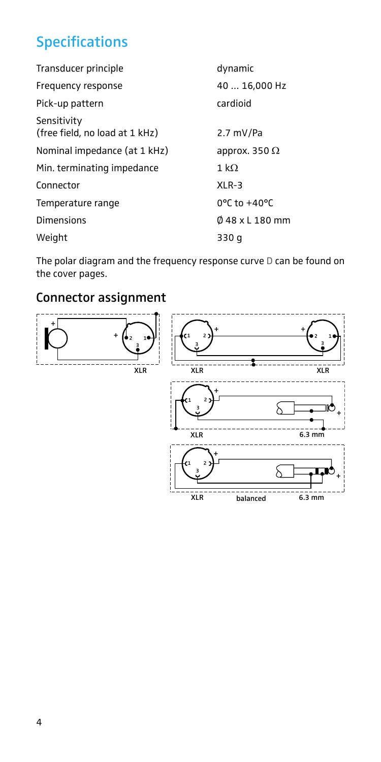## Specifications

| Transducer principle                          | dynamic                           |
|-----------------------------------------------|-----------------------------------|
| Frequency response                            | 40  16,000 Hz                     |
| Pick-up pattern                               | cardioid                          |
| Sensitivity<br>(free field, no load at 1 kHz) | $2.7 \text{ mV/Pa}$               |
| Nominal impedance (at 1 kHz)                  | approx. 350 $\Omega$              |
| Min. terminating impedance                    | 1 k $\Omega$                      |
| Connector                                     | $XLR-3$                           |
| Temperature range                             | $0^{\circ}$ C to +40 $^{\circ}$ C |
| <b>Dimensions</b>                             | $048 \times L180$ mm              |
| Weight                                        | 330 g                             |

The polar diagram and the frequency response curve D can be found on the cover pages.

#### Connector assignment

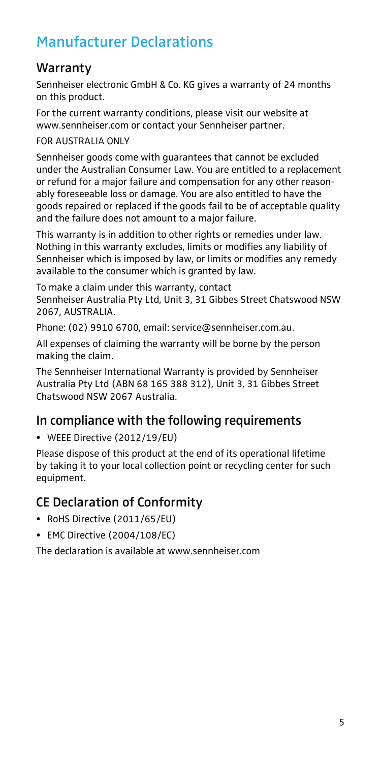## Manufacturer Declarations

### **Warranty**

Sennheiser electronic GmbH & Co. KG gives a warranty of 24 months on this product.

For the current warranty conditions, please visit our website at www.sennheiser.com or contact your Sennheiser partner.

FOR AUSTRALIA ONLY

Sennheiser goods come with guarantees that cannot be excluded under the Australian Consumer Law. You are entitled to a replacement or refund for a major failure and compensation for any other reasonably foreseeable loss or damage. You are also entitled to have the goods repaired or replaced if the goods fail to be of acceptable quality and the failure does not amount to a major failure.

This warranty is in addition to other rights or remedies under law. Nothing in this warranty excludes, limits or modifies any liability of Sennheiser which is imposed by law, or limits or modifies any remedy available to the consumer which is granted by law.

To make a claim under this warranty, contact Sennheiser Australia Pty Ltd, Unit 3, 31 Gibbes Street Chatswood NSW 2067, AUSTRALIA.

Phone: (02) 9910 6700, email: service@sennheiser.com.au.

All expenses of claiming the warranty will be borne by the person making the claim.

The Sennheiser International Warranty is provided by Sennheiser Australia Pty Ltd (ABN 68 165 388 312), Unit 3, 31 Gibbes Street Chatswood NSW 2067 Australia.

#### In compliance with the following requirements

• WEEE Directive (2012/19/EU)

Please dispose of this product at the end of its operational lifetime by taking it to your local collection point or recycling center for such equipment.

#### CE Declaration of Conformity

- RoHS Directive (2011/65/EU)
- EMC Directive (2004/108/EC)

The declaration is available at www.sennheiser.com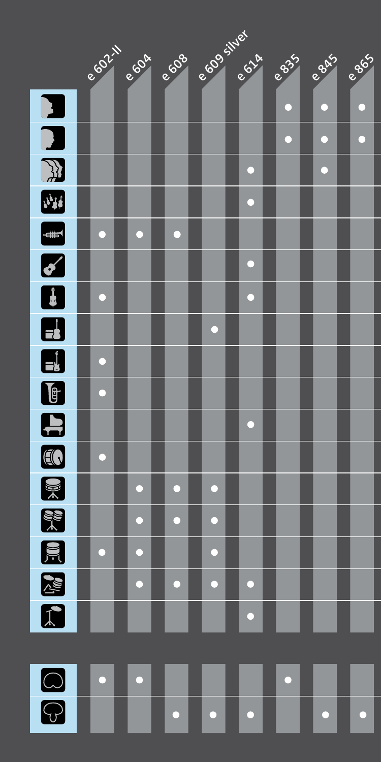

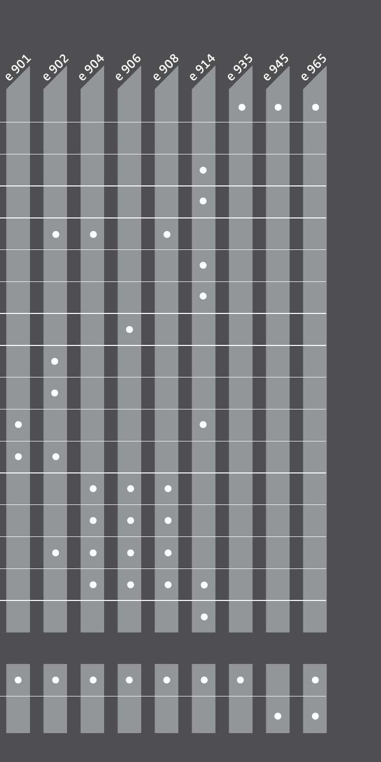